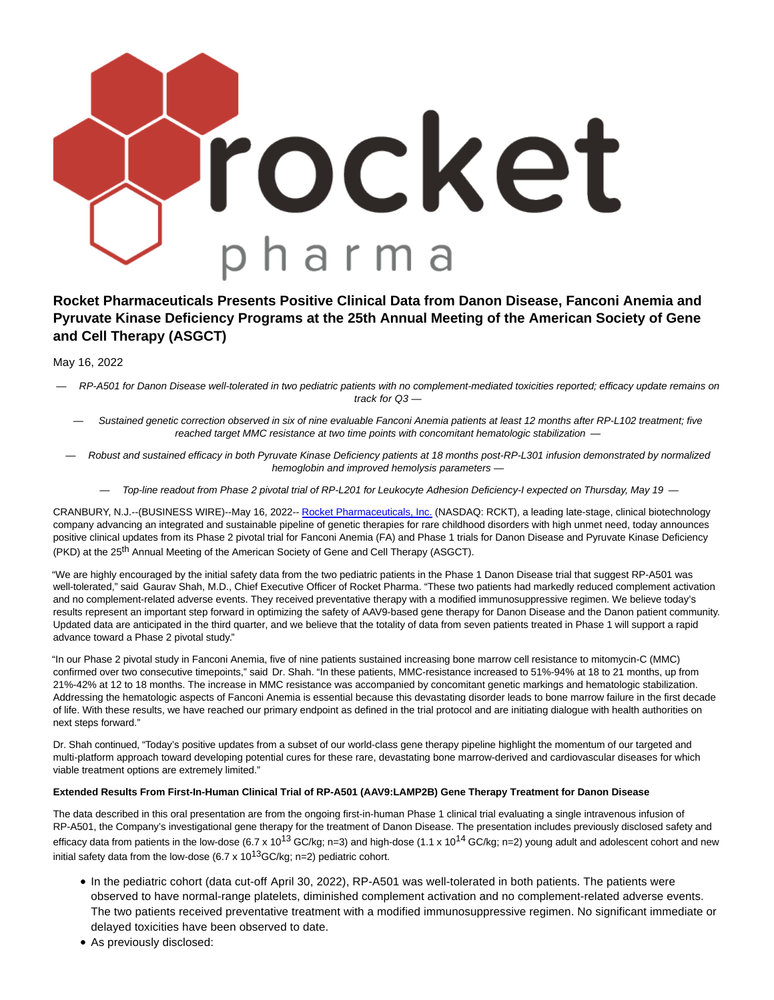

# **Rocket Pharmaceuticals Presents Positive Clinical Data from Danon Disease, Fanconi Anemia and Pyruvate Kinase Deficiency Programs at the 25th Annual Meeting of the American Society of Gene and Cell Therapy (ASGCT)**

May 16, 2022

— RP-A501 for Danon Disease well-tolerated in two pediatric patients with no complement-mediated toxicities reported; efficacy update remains on track for Q3 —

— Sustained genetic correction observed in six of nine evaluable Fanconi Anemia patients at least 12 months after RP-L102 treatment; five reached target MMC resistance at two time points with concomitant hematologic stabilization -

— Robust and sustained efficacy in both Pyruvate Kinase Deficiency patients at 18 months post-RP-L301 infusion demonstrated by normalized hemoglobin and improved hemolysis parameters —

— Top-line readout from Phase 2 pivotal trial of RP-L201 for Leukocyte Adhesion Deficiency-I expected on Thursday, May 19 —

CRANBURY, N.J.--(BUSINESS WIRE)--May 16, 2022-- [Rocket Pharmaceuticals, Inc. \(](https://cts.businesswire.com/ct/CT?id=smartlink&url=https%3A%2F%2Frocketpharma.com%2F&esheet=52720025&newsitemid=20220516005358&lan=en-US&anchor=Rocket+Pharmaceuticals%2C+Inc.&index=1&md5=2517065a5c79569edc049575f641573f)NASDAQ: RCKT), a leading late-stage, clinical biotechnology company advancing an integrated and sustainable pipeline of genetic therapies for rare childhood disorders with high unmet need, today announces positive clinical updates from its Phase 2 pivotal trial for Fanconi Anemia (FA) and Phase 1 trials for Danon Disease and Pyruvate Kinase Deficiency (PKD) at the 25<sup>th</sup> Annual Meeting of the American Society of Gene and Cell Therapy (ASGCT).

"We are highly encouraged by the initial safety data from the two pediatric patients in the Phase 1 Danon Disease trial that suggest RP-A501 was well-tolerated," said Gaurav Shah, M.D., Chief Executive Officer of Rocket Pharma. "These two patients had markedly reduced complement activation and no complement-related adverse events. They received preventative therapy with a modified immunosuppressive regimen. We believe today's results represent an important step forward in optimizing the safety of AAV9-based gene therapy for Danon Disease and the Danon patient community. Updated data are anticipated in the third quarter, and we believe that the totality of data from seven patients treated in Phase 1 will support a rapid advance toward a Phase 2 pivotal study."

"In our Phase 2 pivotal study in Fanconi Anemia, five of nine patients sustained increasing bone marrow cell resistance to mitomycin-C (MMC) confirmed over two consecutive timepoints," said Dr. Shah. "In these patients, MMC-resistance increased to 51%-94% at 18 to 21 months, up from 21%-42% at 12 to 18 months. The increase in MMC resistance was accompanied by concomitant genetic markings and hematologic stabilization. Addressing the hematologic aspects of Fanconi Anemia is essential because this devastating disorder leads to bone marrow failure in the first decade of life. With these results, we have reached our primary endpoint as defined in the trial protocol and are initiating dialogue with health authorities on next steps forward."

Dr. Shah continued, "Today's positive updates from a subset of our world-class gene therapy pipeline highlight the momentum of our targeted and multi-platform approach toward developing potential cures for these rare, devastating bone marrow-derived and cardiovascular diseases for which viable treatment options are extremely limited."

## **Extended Results From First-In-Human Clinical Trial of RP-A501 (AAV9:LAMP2B) Gene Therapy Treatment for Danon Disease**

The data described in this oral presentation are from the ongoing first-in-human Phase 1 clinical trial evaluating a single intravenous infusion of RP-A501, the Company's investigational gene therapy for the treatment of Danon Disease. The presentation includes previously disclosed safety and efficacy data from patients in the low-dose (6.7 x 10<sup>13</sup> GC/kg; n=3) and high-dose (1.1 x 10<sup>14</sup> GC/kg; n=2) young adult and adolescent cohort and new initial safety data from the low-dose (6.7 x  $10^{13}$ GC/kg; n=2) pediatric cohort.

- In the pediatric cohort (data cut-off April 30, 2022), RP-A501 was well-tolerated in both patients. The patients were observed to have normal-range platelets, diminished complement activation and no complement-related adverse events. The two patients received preventative treatment with a modified immunosuppressive regimen. No significant immediate or delayed toxicities have been observed to date.
- As previously disclosed: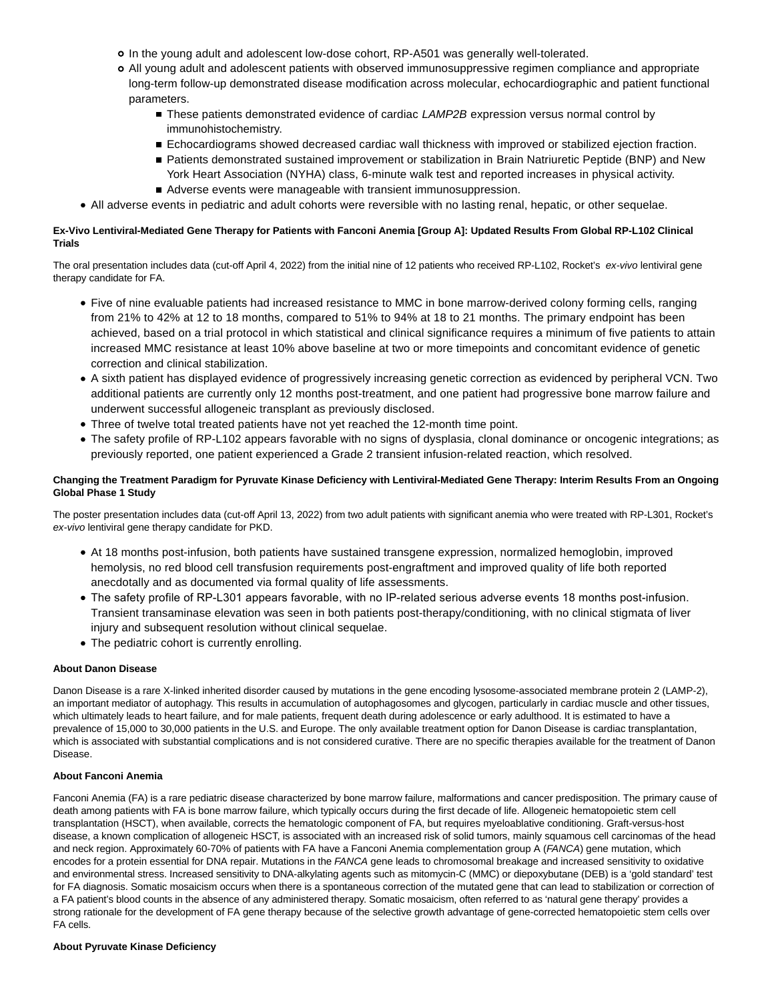- o In the young adult and adolescent low-dose cohort, RP-A501 was generally well-tolerated.
- All young adult and adolescent patients with observed immunosuppressive regimen compliance and appropriate long-term follow-up demonstrated disease modification across molecular, echocardiographic and patient functional parameters.
	- These patients demonstrated evidence of cardiac LAMP2B expression versus normal control by immunohistochemistry.
	- **Echocardiograms showed decreased cardiac wall thickness with improved or stabilized ejection fraction.**
	- Patients demonstrated sustained improvement or stabilization in Brain Natriuretic Peptide (BNP) and New York Heart Association (NYHA) class, 6-minute walk test and reported increases in physical activity. Adverse events were manageable with transient immunosuppression.
- All adverse events in pediatric and adult cohorts were reversible with no lasting renal, hepatic, or other sequelae.

## **Ex-Vivo Lentiviral-Mediated Gene Therapy for Patients with Fanconi Anemia [Group A]: Updated Results From Global RP-L102 Clinical Trials**

The oral presentation includes data (cut-off April 4, 2022) from the initial nine of 12 patients who received RP-L102, Rocket's ex-vivo lentiviral gene therapy candidate for FA.

- Five of nine evaluable patients had increased resistance to MMC in bone marrow-derived colony forming cells, ranging from 21% to 42% at 12 to 18 months, compared to 51% to 94% at 18 to 21 months. The primary endpoint has been achieved, based on a trial protocol in which statistical and clinical significance requires a minimum of five patients to attain increased MMC resistance at least 10% above baseline at two or more timepoints and concomitant evidence of genetic correction and clinical stabilization.
- A sixth patient has displayed evidence of progressively increasing genetic correction as evidenced by peripheral VCN. Two additional patients are currently only 12 months post-treatment, and one patient had progressive bone marrow failure and underwent successful allogeneic transplant as previously disclosed.
- Three of twelve total treated patients have not yet reached the 12-month time point.
- The safety profile of RP-L102 appears favorable with no signs of dysplasia, clonal dominance or oncogenic integrations; as previously reported, one patient experienced a Grade 2 transient infusion-related reaction, which resolved.

## **Changing the Treatment Paradigm for Pyruvate Kinase Deficiency with Lentiviral-Mediated Gene Therapy: Interim Results From an Ongoing Global Phase 1 Study**

The poster presentation includes data (cut-off April 13, 2022) from two adult patients with significant anemia who were treated with RP-L301, Rocket's ex-vivo lentiviral gene therapy candidate for PKD.

- At 18 months post-infusion, both patients have sustained transgene expression, normalized hemoglobin, improved hemolysis, no red blood cell transfusion requirements post-engraftment and improved quality of life both reported anecdotally and as documented via formal quality of life assessments.
- The safety profile of RP-L301 appears favorable, with no IP-related serious adverse events 18 months post-infusion. Transient transaminase elevation was seen in both patients post-therapy/conditioning, with no clinical stigmata of liver injury and subsequent resolution without clinical sequelae.
- The pediatric cohort is currently enrolling.

## **About Danon Disease**

Danon Disease is a rare X-linked inherited disorder caused by mutations in the gene encoding lysosome-associated membrane protein 2 (LAMP-2), an important mediator of autophagy. This results in accumulation of autophagosomes and glycogen, particularly in cardiac muscle and other tissues, which ultimately leads to heart failure, and for male patients, frequent death during adolescence or early adulthood. It is estimated to have a prevalence of 15,000 to 30,000 patients in the U.S. and Europe. The only available treatment option for Danon Disease is cardiac transplantation, which is associated with substantial complications and is not considered curative. There are no specific therapies available for the treatment of Danon Disease.

## **About Fanconi Anemia**

Fanconi Anemia (FA) is a rare pediatric disease characterized by bone marrow failure, malformations and cancer predisposition. The primary cause of death among patients with FA is bone marrow failure, which typically occurs during the first decade of life. Allogeneic hematopoietic stem cell transplantation (HSCT), when available, corrects the hematologic component of FA, but requires myeloablative conditioning. Graft-versus-host disease, a known complication of allogeneic HSCT, is associated with an increased risk of solid tumors, mainly squamous cell carcinomas of the head and neck region. Approximately 60-70% of patients with FA have a Fanconi Anemia complementation group A (FANCA) gene mutation, which encodes for a protein essential for DNA repair. Mutations in the FANCA gene leads to chromosomal breakage and increased sensitivity to oxidative and environmental stress. Increased sensitivity to DNA-alkylating agents such as mitomycin-C (MMC) or diepoxybutane (DEB) is a 'gold standard' test for FA diagnosis. Somatic mosaicism occurs when there is a spontaneous correction of the mutated gene that can lead to stabilization or correction of a FA patient's blood counts in the absence of any administered therapy. Somatic mosaicism, often referred to as 'natural gene therapy' provides a strong rationale for the development of FA gene therapy because of the selective growth advantage of gene-corrected hematopoietic stem cells over FA cells.

#### **About Pyruvate Kinase Deficiency**